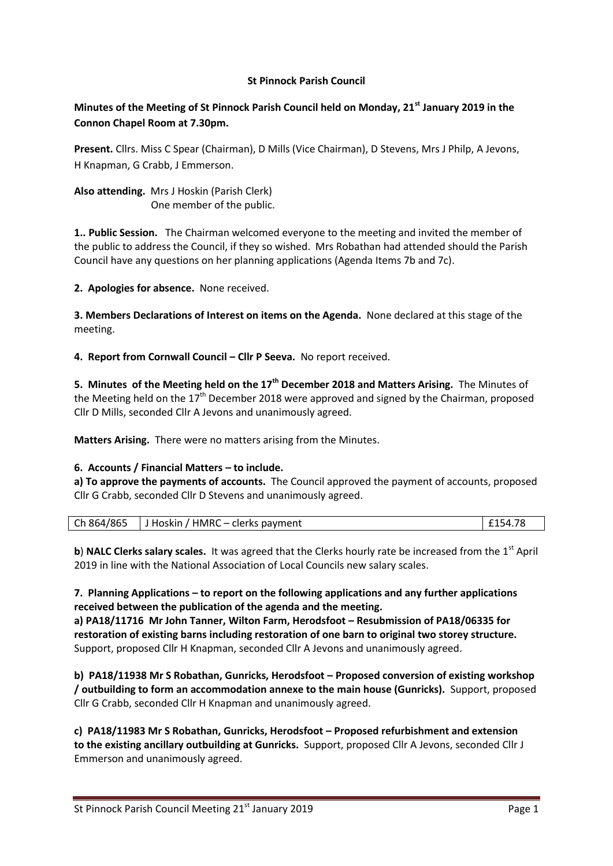### **St Pinnock Parish Council**

# **Minutes of the Meeting of St Pinnock Parish Council held on Monday, 21st January 2019 in the Connon Chapel Room at 7.30pm.**

**Present.** Cllrs. Miss C Spear (Chairman), D Mills (Vice Chairman), D Stevens, Mrs J Philp, A Jevons, H Knapman, G Crabb, J Emmerson.

**Also attending.** Mrs J Hoskin (Parish Clerk) One member of the public.

**1.. Public Session.** The Chairman welcomed everyone to the meeting and invited the member of the public to address the Council, if they so wished. Mrs Robathan had attended should the Parish Council have any questions on her planning applications (Agenda Items 7b and 7c).

**2. Apologies for absence.** None received.

**3. Members Declarations of Interest on items on the Agenda.** None declared at this stage of the meeting.

**4. Report from Cornwall Council – Cllr P Seeva.** No report received.

**5. Minutes of the Meeting held on the 17th December 2018 and Matters Arising.** The Minutes of the Meeting held on the  $17<sup>th</sup>$  December 2018 were approved and signed by the Chairman, proposed Cllr D Mills, seconded Cllr A Jevons and unanimously agreed.

**Matters Arising.** There were no matters arising from the Minutes.

#### **6. Accounts / Financial Matters – to include.**

**a) To approve the payments of accounts.** The Council approved the payment of accounts, proposed Cllr G Crabb, seconded Cllr D Stevens and unanimously agreed.

|  | $\vert$ Ch 864/865 $\vert$ J Hoskin / HMRC – clerks payment | £154.78 |
|--|-------------------------------------------------------------|---------|
|--|-------------------------------------------------------------|---------|

**b**) **NALC Clerks salary scales.** It was agreed that the Clerks hourly rate be increased from the 1<sup>st</sup> April 2019 in line with the National Association of Local Councils new salary scales.

**7. Planning Applications – to report on the following applications and any further applications received between the publication of the agenda and the meeting.**

**a) PA18/11716 Mr John Tanner, Wilton Farm, Herodsfoot – Resubmission of PA18/06335 for restoration of existing barns including restoration of one barn to original two storey structure.** Support, proposed Cllr H Knapman, seconded Cllr A Jevons and unanimously agreed.

**b) PA18/11938 Mr S Robathan, Gunricks, Herodsfoot – Proposed conversion of existing workshop / outbuilding to form an accommodation annexe to the main house (Gunricks).** Support, proposed Cllr G Crabb, seconded Cllr H Knapman and unanimously agreed.

**c) PA18/11983 Mr S Robathan, Gunricks, Herodsfoot – Proposed refurbishment and extension to the existing ancillary outbuilding at Gunricks.** Support, proposed Cllr A Jevons, seconded Cllr J Emmerson and unanimously agreed.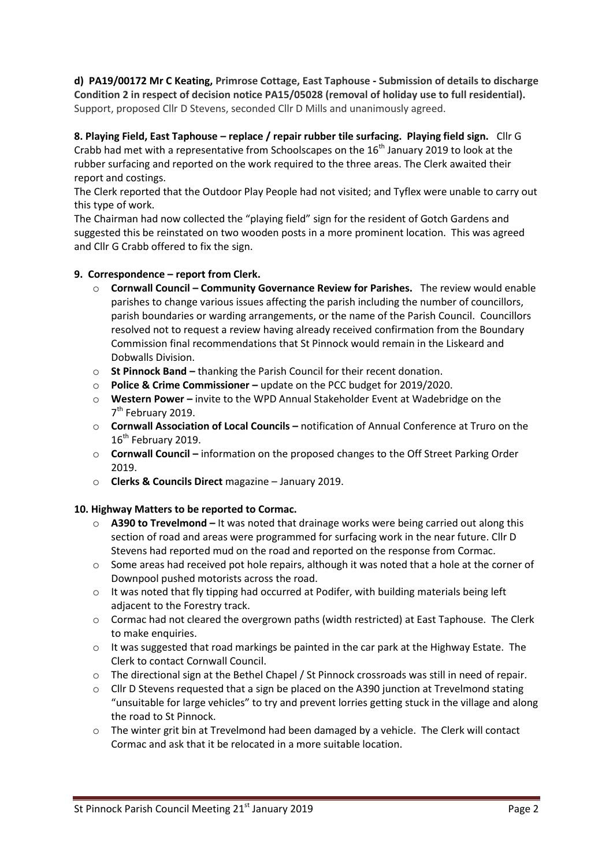**d) PA19/00172 Mr C Keating, Primrose Cottage, East Taphouse - Submission of details to discharge Condition 2 in respect of decision notice PA15/05028 (removal of holiday use to full residential).**  Support, proposed Cllr D Stevens, seconded Cllr D Mills and unanimously agreed.

**8. Playing Field, East Taphouse – replace / repair rubber tile surfacing. Playing field sign.** Cllr G Crabb had met with a representative from Schoolscapes on the  $16<sup>th</sup>$  January 2019 to look at the rubber surfacing and reported on the work required to the three areas. The Clerk awaited their report and costings.

The Clerk reported that the Outdoor Play People had not visited; and Tyflex were unable to carry out this type of work.

The Chairman had now collected the "playing field" sign for the resident of Gotch Gardens and suggested this be reinstated on two wooden posts in a more prominent location. This was agreed and Cllr G Crabb offered to fix the sign.

## **9. Correspondence – report from Clerk.**

- o **Cornwall Council – Community Governance Review for Parishes.** The review would enable parishes to change various issues affecting the parish including the number of councillors, parish boundaries or warding arrangements, or the name of the Parish Council. Councillors resolved not to request a review having already received confirmation from the Boundary Commission final recommendations that St Pinnock would remain in the Liskeard and Dobwalls Division.
- o **St Pinnock Band –** thanking the Parish Council for their recent donation.
- o **Police & Crime Commissioner –** update on the PCC budget for 2019/2020.
- o **Western Power –** invite to the WPD Annual Stakeholder Event at Wadebridge on the 7<sup>th</sup> February 2019.
- o **Cornwall Association of Local Councils –** notification of Annual Conference at Truro on the 16<sup>th</sup> February 2019.
- o **Cornwall Council –** information on the proposed changes to the Off Street Parking Order 2019.
- o **Clerks & Councils Direct** magazine January 2019.

## **10. Highway Matters to be reported to Cormac.**

- o **A390 to Trevelmond –** It was noted that drainage works were being carried out along this section of road and areas were programmed for surfacing work in the near future. Cllr D Stevens had reported mud on the road and reported on the response from Cormac.
- $\circ$  Some areas had received pot hole repairs, although it was noted that a hole at the corner of Downpool pushed motorists across the road.
- o It was noted that fly tipping had occurred at Podifer, with building materials being left adjacent to the Forestry track.
- $\circ$  Cormac had not cleared the overgrown paths (width restricted) at East Taphouse. The Clerk to make enquiries.
- $\circ$  It was suggested that road markings be painted in the car park at the Highway Estate. The Clerk to contact Cornwall Council.
- o The directional sign at the Bethel Chapel / St Pinnock crossroads was still in need of repair.
- $\circ$  Cllr D Stevens requested that a sign be placed on the A390 junction at Trevelmond stating "unsuitable for large vehicles" to try and prevent lorries getting stuck in the village and along the road to St Pinnock.
- $\circ$  The winter grit bin at Trevelmond had been damaged by a vehicle. The Clerk will contact Cormac and ask that it be relocated in a more suitable location.